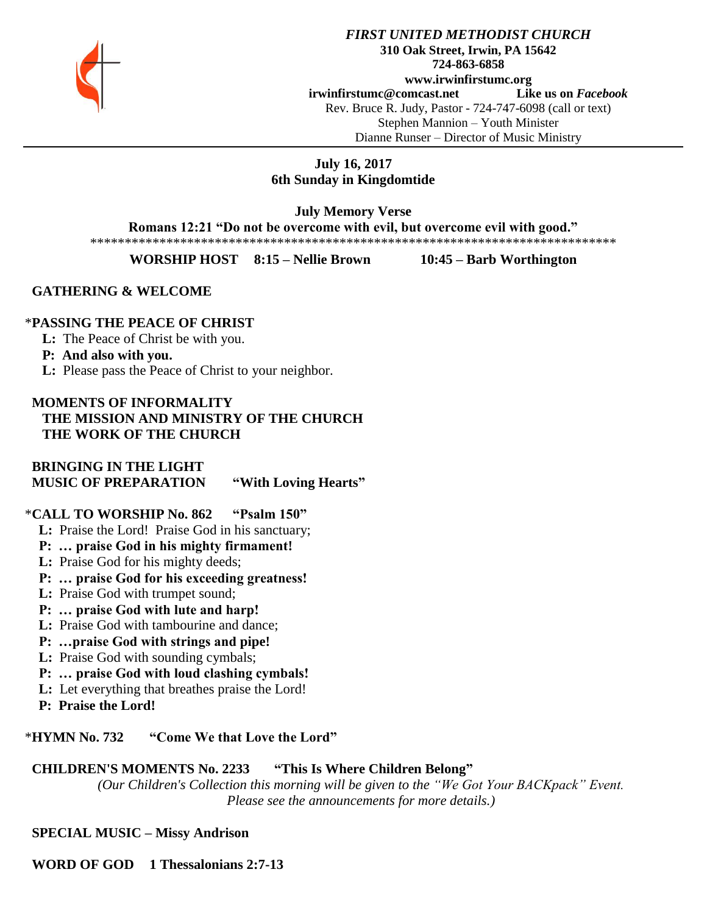

### **July 16, 2017 6th Sunday in Kingdomtide**

**July Memory Verse** 

**Romans 12:21 "Do not be overcome with evil, but overcome evil with good."** \*\*\*\*\*\*\*\*\*\*\*\*\*\*\*\*\*\*\*\*\*\*\*\*\*\*\*\*\*\*\*\*\*\*\*\*\*\*\*\*\*\*\*\*\*\*\*\*\*\*\*\*\*\*\*\*\*\*\*\*\*\*\*\*\*\*\*\*\*\*\*\*\*\*\*\*

**WORSHIP HOST 8:15 – Nellie Brown 10:45 – Barb Worthington**

### **GATHERING & WELCOME**

#### \***PASSING THE PEACE OF CHRIST**

- **L:** The Peace of Christ be with you.
- **P: And also with you.**
- **L:** Please pass the Peace of Christ to your neighbor.

### **MOMENTS OF INFORMALITY THE MISSION AND MINISTRY OF THE CHURCH THE WORK OF THE CHURCH**

 **BRINGING IN THE LIGHT MUSIC OF PREPARATION "With Loving Hearts"**

### \***CALL TO WORSHIP No. 862 "Psalm 150"**

- **L:** Praise the Lord! Praise God in his sanctuary;
- **P: … praise God in his mighty firmament!**
- **L:** Praise God for his mighty deeds;
- **P: … praise God for his exceeding greatness!**
- **L:** Praise God with trumpet sound;
- **P: … praise God with lute and harp!**
- **L:** Praise God with tambourine and dance;
- **P: …praise God with strings and pipe!**
- **L:** Praise God with sounding cymbals;
- **P: … praise God with loud clashing cymbals!**
- **L:** Let everything that breathes praise the Lord!
- **P: Praise the Lord!**

#### \***HYMN No. 732 "Come We that Love the Lord"**

# **CHILDREN'S MOMENTS No. 2233 "This Is Where Children Belong"**

*(Our Children's Collection this morning will be given to the "We Got Your BACKpack" Event. Please see the announcements for more details.)*

# **SPECIAL MUSIC – Missy Andrison**

 **WORD OF GOD 1 Thessalonians 2:7-13**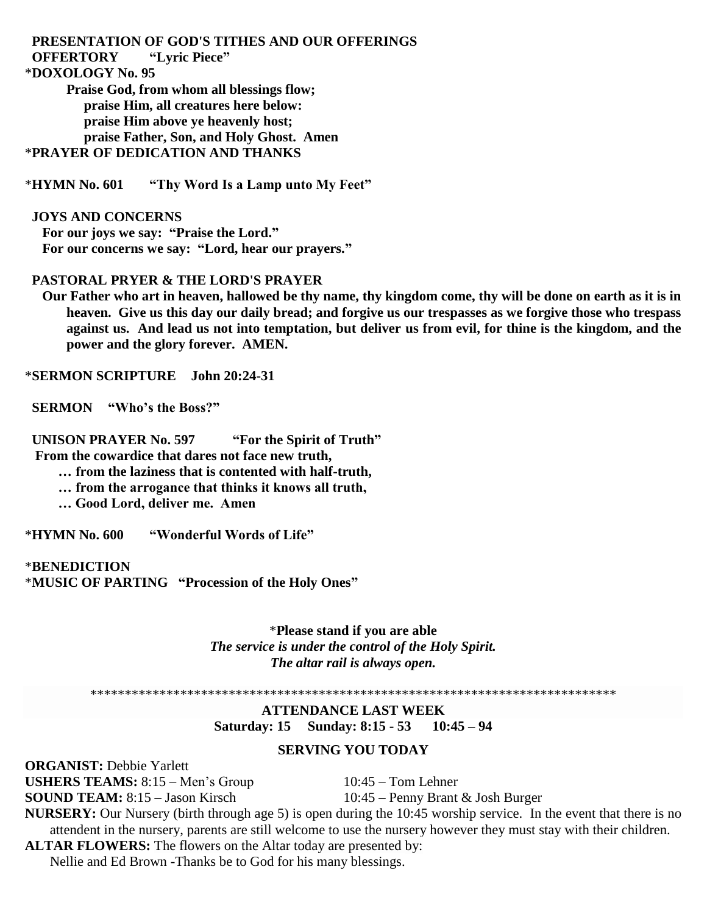PRESENTATION OF GOD'S TITHES AND OUR OFFERINGS "Lyric Piece" **OFFERTORY** \*DOXOLOGY No. 95 Praise God, from whom all blessings flow; praise Him, all creatures here below: praise Him above ve heavenly host; praise Father, Son, and Holy Ghost. Amen

\*PRAYER OF DEDICATION AND THANKS

\*HYMN No. 601 "Thy Word Is a Lamp unto My Feet"

**JOYS AND CONCERNS** For our joys we say: "Praise the Lord." For our concerns we say: "Lord, hear our prayers."

### **PASTORAL PRYER & THE LORD'S PRAYER**

Our Father who art in heaven, hallowed be thy name, thy kingdom come, thy will be done on earth as it is in heaven. Give us this day our daily bread; and forgive us our trespasses as we forgive those who trespass against us. And lead us not into temptation, but deliver us from evil, for thine is the kingdom, and the power and the glory forever. AMEN.

\*SERMON SCRIPTURE John 20:24-31

**SERMON** "Who's the Boss?"

**UNISON PRAYER No. 597** "For the Spirit of Truth"

From the cowardice that dares not face new truth,

- ... from the laziness that is contented with half-truth,
- ... from the arrogance that thinks it knows all truth,
- ... Good Lord, deliver me. Amen

\*HYMN No. 600 "Wonderful Words of Life"

\*BENEDICTION

\*MUSIC OF PARTING "Procession of the Holy Ones"

\*Please stand if you are able The service is under the control of the Holy Spirit. The altar rail is always open.

#### **ATTENDANCE LAST WEEK** Saturday: 15 Sunday: 8:15 - 53  $10:45 - 94$

#### **SERVING YOU TODAY**

**ORGANIST: Debbie Yarlett** 

**USHERS TEAMS:**  $8:15 - \text{Men's Group}$ 

**SOUND TEAM:** 8:15 - Jason Kirsch

10:45 – Penny Brant & Josh Burger

 $10:45$  – Tom Lehner

NURSERY: Our Nursery (birth through age 5) is open during the 10:45 worship service. In the event that there is no attendent in the nursery, parents are still welcome to use the nursery however they must stay with their children.

**ALTAR FLOWERS:** The flowers on the Altar today are presented by: Nellie and Ed Brown - Thanks be to God for his many blessings.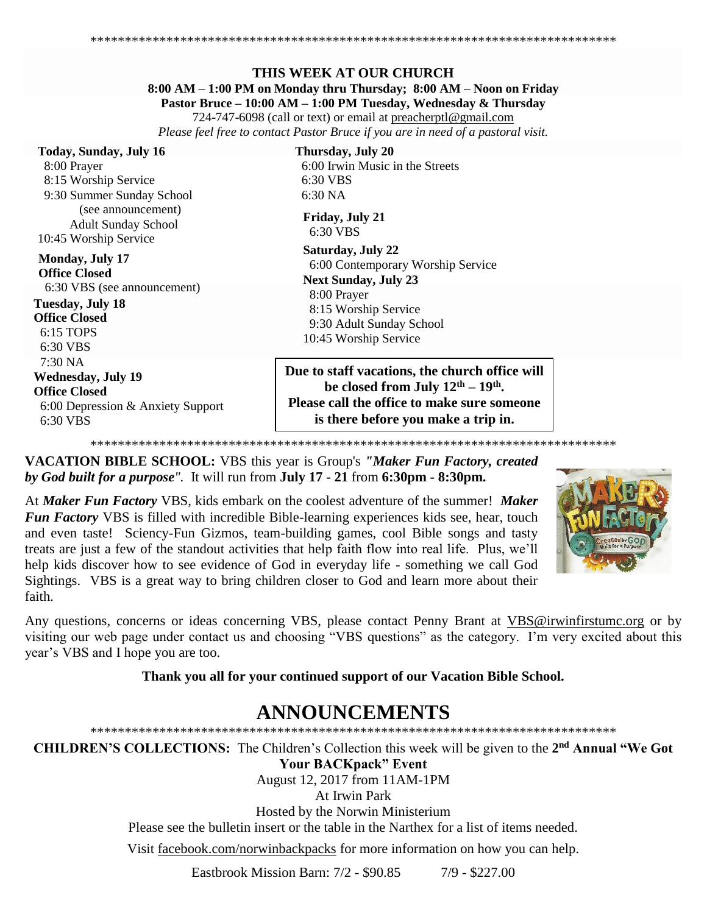#### **THIS WEEK AT OUR CHURCH**

#### **8:00 AM – 1:00 PM on Monday thru Thursday; 8:00 AM – Noon on Friday**

**Pastor Bruce – 10:00 AM – 1:00 PM Tuesday, Wednesday & Thursday**

724-747-6098 (call or text) or email at [preacherptl@gmail.com](mailto:preacherptl@gmail.com) *Please feel free to contact Pastor Bruce if you are in need of a pastoral visit.*

| Today, Sunday, July 16                                                                                                                                                         | Thursday, July 20                                                                     |
|--------------------------------------------------------------------------------------------------------------------------------------------------------------------------------|---------------------------------------------------------------------------------------|
| 8:00 Prayer                                                                                                                                                                    | 6:00 Irwin Music in the Streets                                                       |
| 8:15 Worship Service                                                                                                                                                           | 6:30 VBS                                                                              |
| 9:30 Summer Sunday School                                                                                                                                                      | 6:30 NA                                                                               |
| (see announcement)<br><b>Adult Sunday School</b><br>10:45 Worship Service<br><b>Monday, July 17</b><br><b>Office Closed</b><br>6:30 VBS (see announcement)<br>Tuesday, July 18 | Friday, July 21<br>6:30 VBS                                                           |
|                                                                                                                                                                                | Saturday, July 22<br>6:00 Contemporary Worship Service<br><b>Next Sunday, July 23</b> |
|                                                                                                                                                                                | 8:00 Prayer                                                                           |
|                                                                                                                                                                                | 8:15 Worship Service                                                                  |
| <b>Office Closed</b>                                                                                                                                                           | 9:30 Adult Sunday School                                                              |
| 6:15 TOPS<br>6:30 VBS                                                                                                                                                          | 10:45 Worship Service                                                                 |
| $7:30\,\mathrm{NA}$<br><b>Wednesday, July 19</b><br><b>Office Closed</b>                                                                                                       | Due to staff vacations, the church office will<br>be closed from July $12th - 19th$ . |
| 6:00 Depression & Anxiety Support                                                                                                                                              | Please call the office to make sure someone                                           |
| 6:30 VBS                                                                                                                                                                       | is there before you make a trip in.                                                   |
|                                                                                                                                                                                |                                                                                       |

**VACATION BIBLE SCHOOL:** VBS this year is Group's *"Maker Fun Factory, created by God built for a purpose".* It will run from **July 17 - 21** from **6:30pm - 8:30pm.**

At *Maker Fun Factory* VBS, kids embark on the coolest adventure of the summer! *Maker Fun Factory* VBS is filled with incredible Bible-learning experiences kids see, hear, touch and even taste! Sciency-Fun Gizmos, team-building games, cool Bible songs and tasty treats are just a few of the standout activities that help faith flow into real life. Plus, we'll help kids discover how to see evidence of God in everyday life - something we call God Sightings. VBS is a great way to bring children closer to God and learn more about their faith.



Any questions, concerns or ideas concerning VBS, please contact Penny Brant at [VBS@irwinfirstumc.org](mailto:VBS@irwinfirstumc.org) or by visiting our web page under contact us and choosing "VBS questions" as the category. I'm very excited about this year's VBS and I hope you are too.

**Thank you all for your continued support of our Vacation Bible School.**

# **ANNOUNCEMENTS**

\*\*\*\*\*\*\*\*\*\*\*\*\*\*\*\*\*\*\*\*\*\*\*\*\*\*\*\*\*\*\*\*\*\*\*\*\*\*\*\*\*\*\*\*\*\*\*\*\*\*\*\*\*\*\*\*\*\*\*\*\*\*\*\*\*\*\*\*\*\*\*\*\*\*\*\*

**CHILDREN'S COLLECTIONS:** The Children's Collection this week will be given to the 2<sup>nd</sup> Annual "We Got **Your BACKpack" Event**

August 12, 2017 from 11AM-1PM

At Irwin Park

Hosted by the Norwin Ministerium

Please see the bulletin insert or the table in the Narthex for a list of items needed.

Visit facebook.com/norwinbackpacks for more information on how you can help.

Eastbrook Mission Barn: 7/2 - \$90.85 7/9 - \$227.00